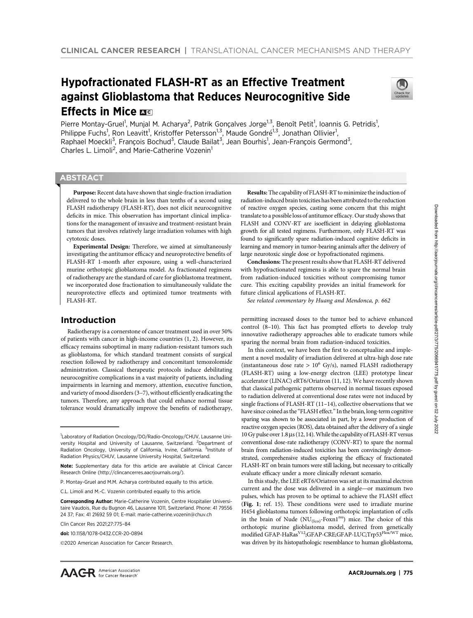# Hypofractionated FLASH-RT as an Effective Treatment against Glioblastoma that Reduces Neurocognitive Side Effects in Mice  $\overline{ac}$



Pierre Montay-Gruel<sup>1</sup>, Munjal M. Acharya<sup>2</sup>, Patrik Gonçalves Jorge<sup>1,3</sup>, Benoît Petit<sup>1</sup>, Ioannis G. Petridis<sup>1</sup>, Philippe Fuchs<sup>1</sup>, Ron Leavitt<sup>1</sup>, Kristoffer Petersson<sup>1,3</sup>, Maude Gondré<sup>1,3</sup>, Jonathan Ollivier<sup>1</sup>, Raphael Moeckli<sup>3</sup>, François Bochud<sup>3</sup>, Claude Bailat<sup>3</sup>, Jean Bourhis<sup>1</sup>, Jean-François Germond<sup>3</sup>, Charles L. Limoli<sup>2</sup>, and Marie-Catherine Vozenin<sup>1</sup>

## **ABSTRACT**

◥

Purpose: Recent data have shown that single-fraction irradiation delivered to the whole brain in less than tenths of a second using FLASH radiotherapy (FLASH-RT), does not elicit neurocognitive deficits in mice. This observation has important clinical implications for the management of invasive and treatment-resistant brain tumors that involves relatively large irradiation volumes with high cytotoxic doses.

Experimental Design: Therefore, we aimed at simultaneously investigating the antitumor efficacy and neuroprotective benefits of FLASH-RT 1-month after exposure, using a well-characterized murine orthotopic glioblastoma model. As fractionated regimens of radiotherapy are the standard of care for glioblastoma treatment, we incorporated dose fractionation to simultaneously validate the neuroprotective effects and optimized tumor treatments with FLASH-RT.

## Introduction

Radiotherapy is a cornerstone of cancer treatment used in over 50% of patients with cancer in high-income countries (1, 2). However, its efficacy remains suboptimal in many radiation-resistant tumors such as glioblastoma, for which standard treatment consists of surgical resection followed by radiotherapy and concomitant temozolomide administration. Classical therapeutic protocols induce debilitating neurocognitive complications in a vast majority of patients, including impairments in learning and memory, attention, executive function, and variety of mood disorders (3–7), without efficiently eradicating the tumors. Therefore, any approach that could enhance normal tissue tolerance would dramatically improve the benefits of radiotherapy,

Clin Cancer Res 2021;27:775–84

Results: The capability of FLASH-RT to minimize the induction of radiation-induced brain toxicities has been attributed to the reduction of reactive oxygen species, casting some concern that this might translate to a possible loss of antitumor efficacy. Our study shows that FLASH and CONV-RT are isoefficient in delaying glioblastoma growth for all tested regimens. Furthermore, only FLASH-RT was found to significantly spare radiation-induced cognitive deficits in learning and memory in tumor-bearing animals after the delivery of large neurotoxic single dose or hypofractionated regimens.

Conclusions: The present results show that FLASH-RT delivered with hypofractionated regimens is able to spare the normal brain from radiation-induced toxicities without compromising tumor cure. This exciting capability provides an initial framework for future clinical applications of FLASH-RT.

See related commentary by Huang and Mendonca, p. 662

permitting increased doses to the tumor bed to achieve enhanced control (8–10). This fact has prompted efforts to develop truly innovative radiotherapy approaches able to eradicate tumors while sparing the normal brain from radiation-induced toxicities.

In this context, we have been the first to conceptualize and implement a novel modality of irradiation delivered at ultra-high dose rate (instantaneous dose rate  $> 10^6$  Gy/s), named FLASH radiotherapy (FLASH-RT) using a low-energy electron (LEE) prototype linear accelerator (LINAC) eRT6/Oriatron (11, 12). We have recently shown that classical pathogenic patterns observed in normal tissues exposed to radiation delivered at conventional dose rates were not induced by single fractions of FLASH-RT (11–14), collective observations that we have since coined as the "FLASH effect." In the brain, long-term cognitive sparing was shown to be associated in part, by a lower production of reactive oxygen species (ROS), data obtained after the delivery of a single 10 Gy pulse over  $1.8 \,\mu s$  (12, 14). While the capability of FLASH-RT versus conventional dose-rate radiotherapy (CONV-RT) to spare the normal brain from radiation-induced toxicities has been convincingly demonstrated, comprehensive studies exploring the efficacy of fractionated FLASH-RT on brain tumors were still lacking, but necessary to critically evaluate efficacy under a more clinically relevant scenario.

In this study, the LEE eRT6/Oriatron was set at its maximal electron current and the dose was delivered in a single—or maximum two pulses, which has proven to be optimal to achieve the FLASH effect (Fig. 1; ref. 15). These conditions were used to irradiate murine H454 glioblastoma tumors following orthotopic implantation of cells in the brain of Nude  $(NU_{(Ico)}$ -Foxn1<sup>nu</sup>) mice. The choice of this orthotopic murine glioblastoma model, derived from genetically modified GFAP-HaRas<sup>V12</sup>;GFAP-CRE;GFAP-LUC;Trp53Flox/WT mice, was driven by its histopathologic resemblance to human glioblastoma,

<sup>&</sup>lt;sup>1</sup>Laboratory of Radiation Oncology/DO/Radio-Oncology/CHUV, Lausanne University Hospital and University of Lausanne, Switzerland. <sup>2</sup>Department of Radiation Oncology, University of California, Irvine, California. <sup>3</sup>Institute of Radiation Physics/CHUV, Lausanne University Hospital, Switzerland.

Note: Supplementary data for this article are available at Clinical Cancer Research Online (http://clincancerres.aacrjournals.org/).

P. Montay-Gruel and M.M. Acharya contributed equally to this article.

C.L. Limoli and M.-C. Vozenin contributed equally to this article.

Corresponding Author: Marie-Catherine Vozenin, Centre Hospitalier Universitaire Vaudois, Rue du Bugnon 46, Lausanne 1011, Switzerland. Phone: 41 79556 24 37; Fax: 41 21692 59 01; E-mail: marie-catherine.vozenin@chuv.ch

doi: 10.1158/1078-0432.CCR-20-0894

<sup>©2020</sup> American Association for Cancer Research.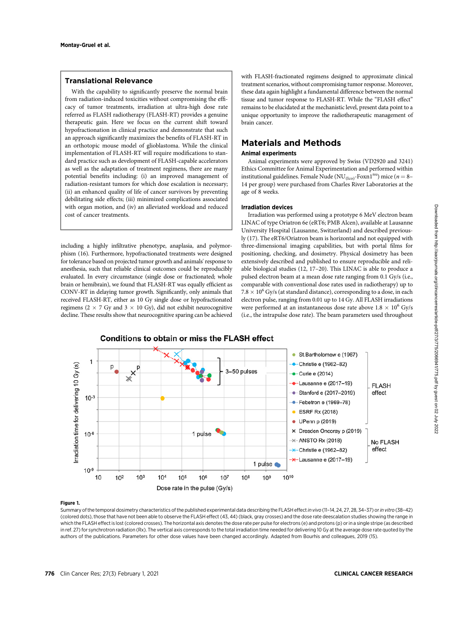## Translational Relevance

With the capability to significantly preserve the normal brain from radiation-induced toxicities without compromising the efficacy of tumor treatments, irradiation at ultra-high dose rate referred as FLASH radiotherapy (FLASH-RT) provides a genuine therapeutic gain. Here we focus on the current shift toward hypofractionation in clinical practice and demonstrate that such an approach significantly maximizes the benefits of FLASH-RT in an orthotopic mouse model of glioblastoma. While the clinical implementation of FLASH-RT will require modifications to standard practice such as development of FLASH-capable accelerators as well as the adaptation of treatment regimens, there are many potential benefits including: (i) an improved management of radiation-resistant tumors for which dose escalation is necessary; (ii) an enhanced quality of life of cancer survivors by preventing debilitating side effects; (iii) minimized complications associated with organ motion, and (iv) an alleviated workload and reduced cost of cancer treatments.

including a highly infiltrative phenotype, anaplasia, and polymorphism (16). Furthermore, hypofractionated treatments were designed for tolerance based on projected tumor growth and animals' response to anesthesia, such that reliable clinical outcomes could be reproducibly evaluated. In every circumstance (single dose or fractionated; whole brain or hemibrain), we found that FLASH-RT was equally efficient as CONV-RT in delaying tumor growth. Significantly, only animals that received FLASH-RT, either as 10 Gy single dose or hypofractionated regimens ( $2 \times 7$  Gy and  $3 \times 10$  Gy), did not exhibit neurocognitive decline. These results show that neurocognitive sparing can be achieved with FLASH-fractionated regimens designed to approximate clinical treatment scenarios, without compromising tumor response. Moreover, these data again highlight a fundamental difference between the normal tissue and tumor response to FLASH-RT. While the "FLASH effect" remains to be elucidated at the mechanistic level, present data point to a unique opportunity to improve the radiotherapeutic management of brain cancer.

# Materials and Methods

## Animal experiments

Animal experiments were approved by Swiss (VD2920 and 3241) Ethics Committee for Animal Experimentation and performed within institutional guidelines. Female Nude (NU<sub>(Ico)</sub>-Foxn1<sup>nu</sup>) mice ( $n = 8-$ 14 per group) were purchased from Charles River Laboratories at the age of 8 weeks.

## Irradiation devices

Irradiation was performed using a prototype 6 MeV electron beam LINAC of type Oriatron 6e (eRT6; PMB Alcen), available at Lausanne University Hospital (Lausanne, Switzerland) and described previously (17). The eRT6/Oriatron beam is horizontal and not equipped with three-dimensional imaging capabilities, but with portal films for positioning, checking, and dosimetry. Physical dosimetry has been extensively described and published to ensure reproducible and reliable biological studies (12, 17–20). This LINAC is able to produce a pulsed electron beam at a mean dose rate ranging from 0.1 Gy/s (i.e., comparable with conventional dose rates used in radiotherapy) up to  $7.8 \times 10^6$  Gy/s (at standard distance), corresponding to a dose, in each electron pulse, ranging from 0.01 up to 14 Gy. All FLASH irradiations were performed at an instantaneous dose rate above  $1.8 \times 10^6$  Gy/s (i.e., the intrapulse dose rate). The beam parameters used throughout



#### Figure 1.

Summary of the temporal dosimetry characteristics of the published experimental data describing the FLASH effect in vivo (11-14, 24, 27, 28, 34-37) or in vitro (38-42) (colored dots), those that have not been able to observe the FLASH effect (43, 44) (black, gray crosses) and the dose rate deescalation studies showing the range in which the FLASH effect is lost (colored crosses). The horizontal axis denotes the dose rate per pulse for electrons (e) and protons (p) or in a single stripe (as described in ref. 27) for synchrotron radiation (Rx). The vertical axis corresponds to the total irradiation time needed for delivering 10 Gy at the average dose rate quoted by the authors of the publications. Parameters for other dose values have been changed accordingly. Adapted from Bourhis and colleagues, 2019 (15).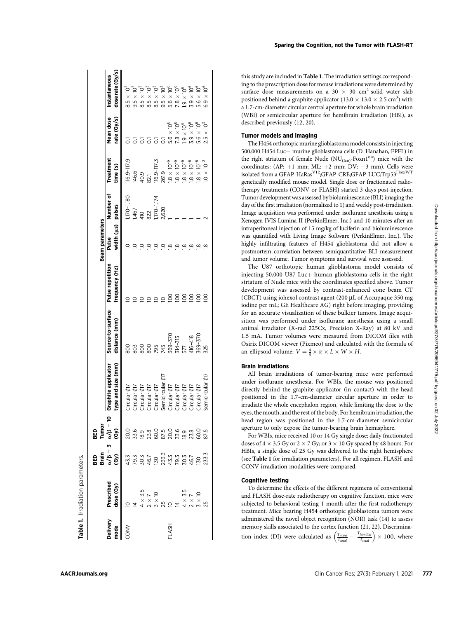|               |                                                                                                                                                                                                                                                                                          |                           |                                  |                                                                                                                                                         |                                    |                                    | Beam parameters            |                |                       |                          |                                   |
|---------------|------------------------------------------------------------------------------------------------------------------------------------------------------------------------------------------------------------------------------------------------------------------------------------------|---------------------------|----------------------------------|---------------------------------------------------------------------------------------------------------------------------------------------------------|------------------------------------|------------------------------------|----------------------------|----------------|-----------------------|--------------------------|-----------------------------------|
| elivery<br>ge | <b>Prescribed</b>                                                                                                                                                                                                                                                                        | ូ<br>ក្នុង គឺ<br>ក្នុង គឺ | BED<br>Tumor<br>«/β = 10<br>(Gy) | <b>Graphite applicator</b><br>type and size (mm)                                                                                                        | Source-to-surface<br>distance (mm) | Pulse repetition<br>frequency (Hz) | width (us) pulses<br>Pulse | Number of      | Treatment<br>time (s) | Mean dose<br>rate (Gy/s) | dose rate (Gy/s)<br>Instantaneous |
| <b>VNOC</b>   |                                                                                                                                                                                                                                                                                          |                           |                                  |                                                                                                                                                         | 800                                |                                    |                            | $170 - 1,180$  | 116.9-117.9           |                          | $8.5 \times 10^{3}$               |
|               |                                                                                                                                                                                                                                                                                          |                           |                                  |                                                                                                                                                         |                                    |                                    |                            | 1,467          | 146.6                 |                          | ρ<br>$9.5 \times$                 |
|               | $\begin{array}{ll} 2\, \, 4\, \, 4\, \, \nu\, \, \nu\, \, 5\, \\ 5\, \, 2\, \, 4\, \, 4\, \, \nu\, \, 2\, \, 5\, \\ 6\, \, 2\, \, 5\, \, 2\, \, 5\, \, 5\, \\ 7\, \, 5\, \, 5\, \, 5\, \, 5\, \\ 8\, \, 5\, \, 5\, \, 5\, \, 5\, \\ 9\, \, 5\, \, 5\, \, 5\, \, 5\, \\ 1\, \, 5\, \, 5\$ |                           |                                  |                                                                                                                                                         | $\frac{8}{2}$                      |                                    |                            | $\frac{40}{2}$ | 40.9                  |                          | ্ত<br>$8.5 \times 1$              |
|               |                                                                                                                                                                                                                                                                                          |                           |                                  |                                                                                                                                                         | 800                                |                                    |                            | 322            | 82,1                  |                          | Š<br>$\frac{1}{8.5}$ $\times$     |
|               |                                                                                                                                                                                                                                                                                          |                           |                                  |                                                                                                                                                         | 795                                | ⊇                                  |                            | 170-1,174      | $16.9 - 117.3$        |                          | $8.5 \times 10^{3}$               |
|               |                                                                                                                                                                                                                                                                                          |                           |                                  |                                                                                                                                                         | 45                                 | $\subseteq$                        |                            | 2,620          | 261.9                 |                          | $9.5 \times 10^{3}$               |
| <b>LASH</b>   |                                                                                                                                                                                                                                                                                          |                           |                                  |                                                                                                                                                         | 369-370                            | $\overline{5}$                     | $\frac{\infty}{2}$         |                | $1.8\times10^{-6}$    | $5.6 \times 10^{6}$      | $5.6 \times 10^6$                 |
|               |                                                                                                                                                                                                                                                                                          |                           |                                  |                                                                                                                                                         | $314 - 315$                        | $\overline{5}$                     | ≌                          |                | $1.8 \times 10^{-6}$  | $7.8\times10^6$          | $7.8\times10^6$                   |
|               |                                                                                                                                                                                                                                                                                          |                           |                                  |                                                                                                                                                         |                                    | $\overline{5}$                     | $\frac{\infty}{2}$         |                | $1.8\times10^{-6}$    | °°0<br>$1.9 \times 1$    | р°<br>$\frac{1}{9}$ $\times$      |
|               |                                                                                                                                                                                                                                                                                          |                           |                                  |                                                                                                                                                         | 416-418                            | $\overline{5}$                     | $\overline{\mathbf{8}}$    |                | $1.8 \times 10^{-6}$  | $3.9 \times 10^6$        | $3.9 \times 10^6$                 |
|               |                                                                                                                                                                                                                                                                                          |                           |                                  |                                                                                                                                                         | 569-370                            | $\overline{5}$                     | $\bar{\mathbf{8}}$         |                | $1.8 \times 10^{-6}$  | $5.6 \times 10^{6}$      | $\times 10^6$<br>5.6              |
|               |                                                                                                                                                                                                                                                                                          |                           |                                  | Groular 017<br>Croular 017<br>Croular 017<br>Croular 017<br>Croular 017<br>Semicircular 017<br>Croular 017<br>Croular 017<br>Croular 017<br>Croular 017 | <b>S25</b>                         | <u>so</u>                          | ≌                          |                | $1.0 \times 10^{-2}$  | $2.5 \times 10^{3}$      | $\times 10^6$<br>6.9              |

this study are included in Table 1. The irradiation settings corresponding to the prescription dose for mouse irradiations were determined by surface dose measurements on a 30  $\times$  30 cm<sup>2</sup>-solid water slab positioned behind a graphite applicator ( $13.0 \times 13.0 \times 2.5$  cm<sup>3</sup>) with a 1.7-cm-diameter circular central aperture for whole brain irradiation (WBI) or semicircular aperture for hemibrain irradiation (HBI), as described previously (12, 20).

## Tumor models and imaging

The H454 orthotopic murine glioblastoma model consists in injecting 500,000 H454 Luc+ murine glioblastoma cells (D. Hanahan, EPFL) in the right striatum of female Nude ( $NU_{(Ico)}$ -Foxn1<sup>nu</sup>) mice with the coordinates:  $(AP: +1 mm; ML: +2 mm; DV: -3 mm)$ . Cells were isolated from a GFAP-HaRas<sup>V12</sup>;GFAP-CRE;GFAP-LUC;Trp53<sup>Flox/WT</sup> genetically modified mouse model. Single dose or fractionated radiotherapy treatments (CONV or FLASH) started 3 days post-injection. Tumor development was assessed by bioluminescence (BLI) imaging the day of the first irradiation (normalized to 1) and weekly post-irradiation. Image acquisition was performed under isoflurane anesthesia using a Xenogen IVIS Lumina II (PerkinElmer, Inc.) and 10 minutes after an intraperitoneal injection of 15 mg/kg of luciferin and bioluminescence was quantified with Living Image Software (PerkinElmer, Inc.). The highly infiltrating features of H454 glioblastoma did not allow a postmortem correlation between semiquantitative BLI measurement and tumor volume. Tumor symptoms and survival were assessed.

The U87 orthotopic human glioblastoma model consists of injecting 50,000 U87 Luc $+$  human glioblastoma cells in the right striatum of Nude mice with the coordinates specified above. Tumor development was assessed by contrast-enhanced cone beam CT (CBCT) using iohexol contrast agent (200 µL of Accupaque 350 mg iodine per mL; GE Healthcare AG) right before imaging, providing for an accurate visualization of these bulkier tumors. Image acquisition was performed under isoflurane anesthesia using a small animal irradiator (X-rad 225Cx, Precision X-Ray) at 80 kV and 1.5 mA. Tumor volumes were measured from DICOM files with Osirix DICOM viewer (Pixmeo) and calculated with the formula of an ellipsoid volume:  $V = \frac{4}{3} \times \pi \times L \times W \times H$ .

## Brain irradiations

All brain irradiations of tumor-bearing mice were performed under isoflurane anesthesia. For WBIs, the mouse was positioned directly behind the graphite applicator (in contact) with the head positioned in the 1.7-cm-diameter circular aperture in order to irradiate the whole encephalon region, while limiting the dose to the eyes, the mouth, and the rest of the body. For hemibrain irradiation, the head region was positioned in the 1.7-cm-diameter semicircular aperture to only expose the tumor-bearing brain hemisphere.

For WBIs, mice received 10 or 14 Gy single dose; daily fractionated doses of  $4 \times 3.5$  Gy or  $2 \times 7$  Gy; or  $3 \times 10$  Gy spaced by 48 hours. For HBIs, a single dose of 25 Gy was delivered to the right hemisphere (see Table 1 for irradiation parameters). For all regimen, FLASH and CONV irradiation modalities were compared.

### Cognitive testing

To determine the effects of the different regimens of conventional and FLASH dose-rate radiotherapy on cognitive function, mice were subjected to behavioral testing 1 month after the first radiotherapy treatment. Mice bearing H454 orthotopic glioblastoma tumors were administered the novel object recognition (NOR) task (14) to assess memory skills associated to the cortex function (21, 22). Discrimination index (DI) were calculated as  $\left(\frac{T_{novel}}{T_{total}} - \frac{T_{familiar}}{T_{total}}\right) \times 100$ , where

**Table 1.** Irradiation parameters. Irradiation parameters.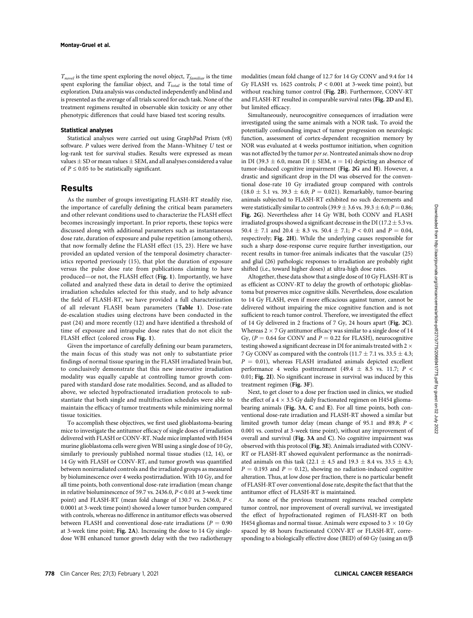$T_{novel}$  is the time spent exploring the novel object,  $T_{familiar}$  is the time spent exploring the familiar object, and  $T_{total}$  is the total time of exploration. Data analysis was conducted independently and blind and is presented as the average of all trials scored for each task. None of the treatment regimens resulted in observable skin toxicity or any other phenotypic differences that could have biased test scoring results.

#### Statistical analyses

Statistical analyses were carried out using GraphPad Prism (v8) software. P values were derived from the Mann–Whitney U test or log-rank test for survival studies. Results were expressed as mean values  $\pm$  SD or mean values  $\pm$  SEM, and all analyses considered a value of  $P \le 0.05$  to be statistically significant.

## Results

As the number of groups investigating FLASH-RT steadily rise, the importance of carefully defining the critical beam parameters and other relevant conditions used to characterize the FLASH effect becomes increasingly important. In prior reports, these topics were discussed along with additional parameters such as instantaneous dose rate, duration of exposure and pulse repetition (among others), that now formally define the FLASH effect (15, 23). Here we have provided an updated version of the temporal dosimetry characteristics reported previously (15), that plot the duration of exposure versus the pulse dose rate from publications claiming to have produced—or not, the FLASH effect (Fig. 1). Importantly, we have collated and analyzed these data in detail to derive the optimized irradiation schedules selected for this study, and to help advance the field of FLASH-RT, we have provided a full characterization of all relevant FLASH beam parameters (Table 1). Dose-rate de-escalation studies using electrons have been conducted in the past (24) and more recently (12) and have identified a threshold of time of exposure and intrapulse dose rates that do not elicit the FLASH effect (colored cross Fig. 1).

Given the importance of carefully defining our beam parameters, the main focus of this study was not only to substantiate prior findings of normal tissue sparing in the FLASH irradiated brain but, to conclusively demonstrate that this new innovative irradiation modality was equally capable at controlling tumor growth compared with standard dose rate modalities. Second, and as alluded to above, we selected hypofractionated irradiation protocols to substantiate that both single and multifraction schedules were able to maintain the efficacy of tumor treatments while minimizing normal tissue toxicities.

To accomplish these objectives, we first used glioblastoma-bearing mice to investigate the antitumor efficacy of single doses of irradiation delivered with FLASH or CONV-RT. Nude mice implanted with H454 murine glioblastoma cells were given WBI using a single dose of 10 Gy, similarly to previously published normal tissue studies (12, 14), or 14 Gy with FLASH or CONV-RT, and tumor growth was quantified between nonirradiated controls and the irradiated groups as measured by bioluminescence over 4 weeks postirradiation. With 10 Gy, and for all time points, both conventional dose-rate irradiation (mean change in relative bioluminescence of 59.7 vs. 2436.0,  $P < 0.01$  at 3-week time point) and FLASH-RT (mean fold change of 130.7 vs. 2436.0, P < 0.0001 at 3-week time point) showed a lower tumor burden compared with controls, whereas no difference in antitumor effects was observed between FLASH and conventional dose-rate irradiations ( $P = 0.90$ ) at 3-week time point; Fig. 2A). Increasing the dose to 14 Gy singledose WBI enhanced tumor growth delay with the two radiotherapy modalities (mean fold change of 12.7 for 14 Gy CONV and 9.4 for 14 Gy FLASH vs. 1625 controls;  $P < 0.001$  at 3-week time point), but without reaching tumor control (Fig. 2B). Furthermore, CONV-RT and FLASH-RT resulted in comparable survival rates (Fig. 2D and E), but limited efficacy.

Simultaneously, neurocognitive consequences of irradiation were investigated using the same animals with a NOR task. To avoid the potentially confounding impact of tumor progression on neurologic function, assessment of cortex-dependent recognition memory by NOR was evaluated at 4 weeks posttumor initiation, when cognition was not affected by the tumor per se. Nontreated animals show no drop in DI (39.3  $\pm$  6.0, mean DI  $\pm$  SEM,  $n = 14$ ) depicting an absence of tumor-induced cognitive impairment (Fig. 2G and H). However, a drastic and significant drop in the DI was observed for the conventional dose-rate 10 Gy irradiated group compared with controls  $(18.0 \pm 5.1 \text{ vs. } 39.3 \pm 6.0; P = 0.021)$ . Remarkably, tumor-bearing animals subjected to FLASH-RT exhibited no such decrements and were statistically similar to controls (39.9  $\pm$  3.6 vs. 39.3  $\pm$  6.0; P = 0.86; Fig. 2G). Nevertheless after 14 Gy WBI, both CONV and FLASH irradiated groups showed a significant decrease in the DI (17.2  $\pm$  5.3 vs. 50.4  $\pm$  7.1 and 20.4  $\pm$  8.3 vs. 50.4  $\pm$  7.1; P < 0.01 and P = 0.04, respectively; Fig. 2H). While the underlying causes responsible for such a sharp dose-response curve require further investigation, our recent results in tumor-free animals indicates that the vascular (25) and glial (26) pathologic responses to irradiation are probably right shifted (i.e., toward higher doses) at ultra-high dose rates.

Altogether, these data show that a single dose of 10 Gy FLASH-RT is as efficient as CONV-RT to delay the growth of orthotopic glioblastoma but preserves mice cognitive skills. Nevertheless, dose escalation to 14 Gy FLASH, even if more efficacious against tumor, cannot be delivered without impairing the mice cognitive function and is not sufficient to reach tumor control. Therefore, we investigated the effect of 14 Gy delivered in 2 fractions of 7 Gy, 24 hours apart (Fig. 2C). Whereas  $2 \times 7$  Gy antitumor efficacy was similar to a single dose of 14 Gy, ( $P = 0.64$  for CONV and  $P = 0.22$  for FLASH), neurocognitive testing showed a significant decrease in DI for animals treated with 2  $\times$ 7 Gy CONV as compared with the controls (11.7  $\pm$  7.1 vs. 33.5  $\pm$  4.3;  $P = 0.01$ ), whereas FLASH irradiated animals depicted excellent performance 4 weeks posttreatment (49.4  $\pm$  8.5 vs. 11.7;  $P$  < 0.01; Fig. 2I). No significant increase in survival was induced by this treatment regimen (Fig. 3F).

Next, to get closer to a dose per fraction used in clinics, we studied the effect of a  $4 \times 3.5$  Gy daily fractionated regimen on H454 gliomabearing animals (Fig. 3A, C and E). For all time points, both conventional dose-rate irradiation and FLASH-RT showed a similar but limited growth tumor delay (mean change of 95.1 and 89.8;  $P \leq$ 0.001 vs. control at 3-week time point), without any improvement of overall and survival (Fig. 3A and C). No cognitive impairment was observed with this protocol (Fig. 3E). Animals irradiated with CONV-RT or FLASH-RT showed equivalent performance as the nonirradiated animals on this task (22.1  $\pm$  4.5 and 19.3  $\pm$  8.4 vs. 33.5  $\pm$  4.3;  $P = 0.193$  and  $P = 0.12$ ), showing no radiation-induced cognitive alteration. Thus, at low dose per fraction, there is no particular benefit of FLASH-RT over conventional dose rate, despite the fact that that the antitumor effect of FLASH-RT is maintained.

As none of the previous treatment regimens reached complete tumor control, nor improvement of overall survival, we investigated the effect of hypofractionated regimen of FLASH-RT on both H454 gliomas and normal tissue. Animals were exposed to  $3 \times 10$  Gy spaced by 48 hours fractionated CONV-RT or FLASH-RT, corresponding to a biologically effective dose (BED) of 60 Gy (using an  $\alpha/\beta$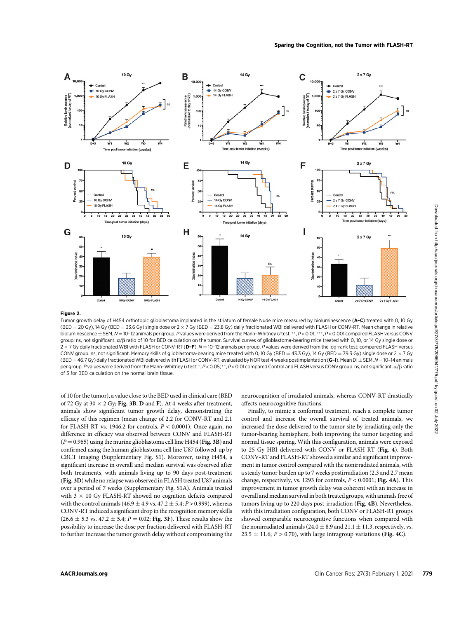

#### Figure 2.

Tumor growth delay of H454 orthotopic glioblastoma implanted in the striatum of female Nude mice measured by bioluminescence (A–C) treated with 0, 10 Gy (BED = 20 Gy), 14 Gy (BED = 33.6 Gy) single dose or 2  $\times$  7 Gy (BED = 23.8 Gy) daily fractionated WBI delivered with FLASH or CONV-RT. Mean change in relative bioluminescence  $\pm$  SEM, N = 10-12 animals per group. P values were derived from the Mann-Whitney U test: \*\*, P < 0.01; \*\*\*, P < 0.001 compared FLASH versus CONV group; ns, not significant.  $\alpha/\beta$  ratio of 10 for BED calculation on the tumor. Survival curves of glioblastoma-bearing mice treated with 0, 10, or 14 Gy single dose or  $2 \times 7$  Gy daily fractionated WBI with FLASH or CONV-RT (D–F).  $N = 10$ –12 animals per group. P values were derived from the log-rank test; compared FLASH versus CONV group. ns, not significant. Memory skills of glioblastoma-bearing mice treated with 0, 10 Gy (BED = 43.3 Gy), 14 Gy (BED = 79.3 Gy) single dose or 2  $\times$  7 Gy (BED = 46.7 Gy) daily fractionated WBI delivered with FLASH or CONV-RT, evaluated by NOR test 4 weeks postimplantation (G-I). Mean DI  $\pm$  SEM, N = 10-14 animals per group. P values were derived from the Mann-Whitney Utest: \*, P < 0.05; \*\*, P < 0.01 compared Control and FLASH versus CONV group. ns, not significant.  $\alpha$ / $\beta$  ratio of 3 for BED calculation on the normal brain tissue.

of 10 for the tumor), a value close to the BED used in clinical care (BED of 72 Gy at 30  $\times$  2 Gy; Fig. 3B, D and F). At 4-weeks after treatment, animals show significant tumor growth delay, demonstrating the efficacy of this regimen (mean change of 2.2 for CONV-RT and 2.1 for FLASH-RT vs. 1946.2 for controls,  $P < 0.0001$ ). Once again, no difference in efficacy was observed between CONV and FLASH-RT  $(P = 0.965)$  using the murine glioblastoma cell line H454 (Fig. 3B) and confirmed using the human glioblastoma cell line U87 followed-up by CBCT imaging (Supplementary Fig. S1). Moreover, using H454, a significant increase in overall and median survival was observed after both treatments, with animals living up to 90 days post-treatment (Fig. 3D) while no relapse was observed in FLASH treated U87 animals over a period of 7 weeks (Supplementary Fig. S1A). Animals treated with  $3 \times 10$  Gy FLASH-RT showed no cognition deficits compared with the control animals (46.9  $\pm$  4.9 vs. 47.2  $\pm$  5.4; P > 0.999), whereas CONV-RT induced a significant drop in the recognition memory skills  $(26.6 \pm 5.3 \text{ vs. } 47.2 \pm 5.4; P = 0.02; \text{ Fig. 3F}).$  These results show the possibility to increase the dose per fraction delivered with FLASH-RT to further increase the tumor growth delay without compromising the neurocognition of irradiated animals, whereas CONV-RT drastically affects neurocognitive functions.

Finally, to mimic a conformal treatment, reach a complete tumor control and increase the overall survival of treated animals, we increased the dose delivered to the tumor site by irradiating only the tumor-bearing hemisphere, both improving the tumor targeting and normal tissue sparing. With this configuration, animals were exposed to 25 Gy HBI delivered with CONV or FLASH-RT (Fig. 4). Both CONV-RT and FLASH-RT showed a similar and significant improvement in tumor control compared with the nonirradiated animals, with a steady tumor burden up to 7 weeks postirradiation (2.3 and 2.7 mean change, respectively, vs. 1293 for controls,  $P < 0.0001$ ; Fig. 4A). This improvement in tumor growth delay was coherent with an increase in overall and median survival in both treated groups, with animals free of tumors living up to 220 days post-irradiation (Fig. 4B). Nevertheless, with this irradiation configuration, both CONV or FLASH-RT groups showed comparable neurocognitive functions when compared with the nonirradiated animals (24.0  $\pm$  8.9 and 21.1  $\pm$  11.3, respectively, vs.  $23.5 \pm 11.6$ ;  $P > 0.70$ ), with large intragroup variations (Fig. 4C).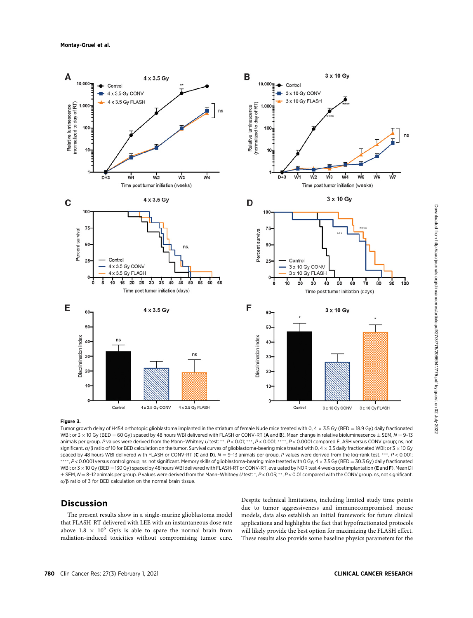Montay-Gruel et al.



## Figure 3.

Tumor growth delay of H454 orthotopic glioblastoma implanted in the striatum of female Nude mice treated with 0, 4  $\times$  3.5 Gy (BED = 18.9 Gy) daily fractionated WBI; or 3  $\times$  10 Gy (BED = 60 Gy) spaced by 48 hours WBI delivered with FLASH or CONV-RT (A and B). Mean change in relative bioluminescence  $\pm$  SEM, N = 9-13 animals per group. P values were derived from the Mann-Whitney U test: \*\*, P < 0.01; \*\*\*, P < 0.001; \*\*\*\*, P < 0.0001 compared FLASH versus CONV group; ns, not significant.  $\alpha$ / $\beta$  ratio of 10 for BED calculation on the tumor. Survival curves of glioblastoma-bearing mice treated with 0, 4  $\times$  3.5 daily fractionated WBI; or 3  $\times$  10 Gy spaced by 48 hours WBI delivered with FLASH or CONV-RT (C and D).  $N = 9$ -13 animals per group. P values were derived from the log-rank test. \*\*\*, P < 0.001;  $*, P < 0.0001$  versus control group; ns: not significant. Memory skills of glioblastoma-bearing mice treated with 0 Gy, 4  $\times$  3.5 Gy (BED = 30.3 Gy) daily fractionated WBI; or 3 x 10 Gy (BED = 130 Gy) spaced by 48 hours WBI delivered with FLASH-RT or CONV-RT, evaluated by NOR test 4 weeks postimplantation (E and F). Mean DI  $\pm$  SEM, N = 8-12 animals per group. P values were derived from the Mann-Whitney U test: \*, P < 0.05; \*\*, P < 0.01 compared with the CONV group. ns, not significant.  $\alpha/\beta$  ratio of 3 for BED calculation on the normal brain tissue.

## Discussion

The present results show in a single-murine glioblastoma model that FLASH-RT delivered with LEE with an instantaneous dose rate above 1.8  $\times$  10<sup>6</sup> Gy/s is able to spare the normal brain from radiation-induced toxicities without compromising tumor cure. Despite technical limitations, including limited study time points due to tumor aggressiveness and immunocompromised mouse models, data also establish an initial framework for future clinical applications and highlights the fact that hypofractionated protocols will likely provide the best option for maximizing the FLASH effect. These results also provide some baseline physics parameters for the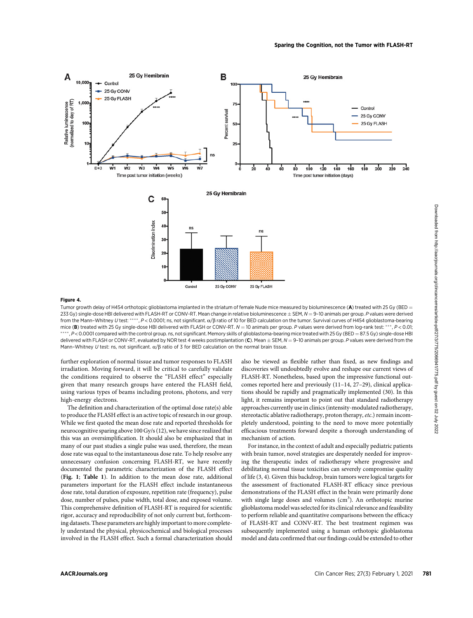

#### Figure 4.

Tumor growth delay of H454 orthotopic glioblastoma implanted in the striatum of female Nude mice measured by bioluminescence (A) treated with 25 Gy (BED = 233 Gy) single-dose HBI delivered with FLASH-RT or CONV-RT. Mean change in relative bioluminescence  $\pm$  SEM,  $N = 9$ -10 animals per group. P values were derived from the Mann–Whitney U test: \*\*\*\*, P < 0.0001; ns, not significant.  $\alpha/\beta$  ratio of 10 for BED calculation on the tumor. Survival curves of H454 glioblastoma-bearing mice (B) treated with 25 Gy single-dose HBI delivered with FLASH or CONV-RT.  $N = 10$  animals per group. P values were derived from log-rank test: \*\*\*, P < 0.01; \*, P<0.0001 compared with the control group. ns, not significant. Memory skills of glioblastoma-bearing mice treated with 25 Gy (BED = 87.5 Gy) single-dose HBI delivered with FLASH or CONV-RT, evaluated by NOR test 4 weeks postimplantation (C). Mean  $\pm$  SEM,  $N = 9$ -10 animals per group. P values were derived from the Mann–Whitney U test: ns, not significant,  $\alpha$ /B ratio of 3 for BED calculation on the normal brain tissue.

further exploration of normal tissue and tumor responses to FLASH irradiation. Moving forward, it will be critical to carefully validate the conditions required to observe the "FLASH effect" especially given that many research groups have entered the FLASH field, using various types of beams including protons, photons, and very high-energy electrons.

The definition and characterization of the optimal dose rate(s) able to produce the FLASH effect is an active topic of research in our group. While we first quoted the mean dose rate and reported thresholds for neurocognitive sparing above 100 Gy/s (12), we have since realized that this was an oversimplification. It should also be emphasized that in many of our past studies a single pulse was used, therefore, the mean dose rate was equal to the instantaneous dose rate. To help resolve any unnecessary confusion concerning FLASH-RT, we have recently documented the parametric characterization of the FLASH effect (Fig. 1; Table 1). In addition to the mean dose rate, additional parameters important for the FLASH effect include instantaneous dose rate, total duration of exposure, repetition rate (frequency), pulse dose, number of pulses, pulse width, total dose, and exposed volume. This comprehensive definition of FLASH-RT is required for scientific rigor, accuracy and reproducibility of not only current but, forthcoming datasets. These parameters are highly important to more completely understand the physical, physicochemical and biological processes involved in the FLASH effect. Such a formal characterization should

also be viewed as flexible rather than fixed, as new findings and discoveries will undoubtedly evolve and reshape our current views of FLASH-RT. Nonetheless, based upon the impressive functional outcomes reported here and previously (11–14, 27–29), clinical applications should be rapidly and pragmatically implemented (30). In this light, it remains important to point out that standard radiotherapy approaches currently use in clinics (intensity-modulated radiotherapy, stereotactic ablative radiotherapy, proton therapy, etc.) remain incompletely understood, pointing to the need to move more potentially efficacious treatments forward despite a thorough understanding of mechanism of action.

For instance, in the context of adult and especially pediatric patients with brain tumor, novel strategies are desperately needed for improving the therapeutic index of radiotherapy where progressive and debilitating normal tissue toxicities can severely compromise quality of life (3, 4). Given this backdrop, brain tumors were logical targets for the assessment of fractionated FLASH-RT efficacy since previous demonstrations of the FLASH effect in the brain were primarily done with single large doses and volumes  $(cm<sup>3</sup>)$ . An orthotopic murine glioblastoma model was selected for its clinical relevance and feasibility to perform reliable and quantitative comparisons between the efficacy of FLASH-RT and CONV-RT. The best treatment regimen was subsequently implemented using a human orthotopic glioblastoma model and data confirmed that our findings could be extended to other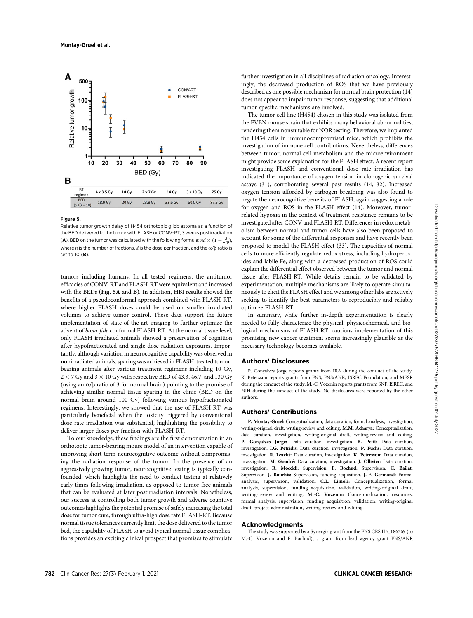

#### Figure 5.

Relative tumor growth delay of H454 orthotopic glioblastoma as a function of the BED delivered to the tumor with FLASH or CONV-RT, 3 weeks postirradiation (**A**). BED on the tumor was calculated with the following formula:  $nd \times (1 + \frac{d}{\alpha/\beta})$ , where n is the number of fractions, d is the dose per fraction, and the  $\alpha/\beta$  ratio is set to 10 (**B**).

tumors including humans. In all tested regimens, the antitumor efficacies of CONV-RT and FLASH-RT were equivalent and increased with the BEDs (Fig. 5A and B). In addition, HBI results showed the benefits of a pseudoconformal approach combined with FLASH-RT, where higher FLASH doses could be used on smaller irradiated volumes to achieve tumor control. These data support the future implementation of state-of-the-art imaging to further optimize the advent of bona-fide conformal FLASH-RT. At the normal tissue level, only FLASH irradiated animals showed a preservation of cognition after hypofractionated and single-dose radiation exposures. Importantly, although variation in neurocognitive capability was observed in nonirradiated animals, sparing was achieved in FLASH-treated tumorbearing animals after various treatment regimens including 10 Gy,  $2 \times 7$  Gy and  $3 \times 10$  Gy with respective BED of 43.3, 46.7, and 130 Gy (using an  $\alpha/\beta$  ratio of 3 for normal brain) pointing to the promise of achieving similar normal tissue sparing in the clinic (BED on the normal brain around 100 Gy) following various hypofractionated regimens. Interestingly, we showed that the use of FLASH-RT was particularly beneficial when the toxicity triggered by conventional dose rate irradiation was substantial, highlighting the possibility to deliver larger doses per fraction with FLASH-RT.

To our knowledge, these findings are the first demonstration in an orthotopic tumor-bearing mouse model of an intervention capable of improving short-term neurocognitive outcome without compromising the radiation response of the tumor. In the presence of an aggressively growing tumor, neurocognitive testing is typically confounded, which highlights the need to conduct testing at relatively early times following irradiation, as opposed to tumor-free animals that can be evaluated at later postirradiation intervals. Nonetheless, our success at controlling both tumor growth and adverse cognitive outcomes highlights the potential promise of safely increasing the total dose for tumor cure, through ultra-high dose rate FLASH-RT. Because normal tissue tolerances currently limit the dose delivered to the tumor bed, the capability of FLASH to avoid typical normal tissue complications provides an exciting clinical prospect that promises to stimulate further investigation in all disciplines of radiation oncology. Interestingly, the decreased production of ROS that we have previously described as one possible mechanism for normal brain protection (14) does not appear to impair tumor response, suggesting that additional tumor-specific mechanisms are involved.

The tumor cell line (H454) chosen in this study was isolated from the FVBN mouse strain that exhibits many behavioral abnormalities, rendering them nonsuitable for NOR testing. Therefore, we implanted the H454 cells in immunocompromised mice, which prohibits the investigation of immune cell contributions. Nevertheless, differences between tumor, normal cell metabolism and the microenvironment might provide some explanation for the FLASH effect. A recent report investigating FLASH and conventional dose rate irradiation has indicated the importance of oxygen tension in clonogenic survival assays (31), corroborating several past results (14, 32). Increased oxygen tension afforded by carbogen breathing was also found to negate the neurocognitive benefits of FLASH, again suggesting a role for oxygen and ROS in the FLASH effect (14). Moreover, tumorrelated hypoxia in the context of treatment resistance remains to be investigated after CONV and FLASH-RT. Differences in redox metabolism between normal and tumor cells have also been proposed to account for some of the differential responses and have recently been proposed to model the FLASH effect (33). The capacities of normal cells to more efficiently regulate redox stress, including hydroperoxides and labile Fe, along with a decreased production of ROS could explain the differential effect observed between the tumor and normal tissue after FLASH-RT. While details remain to be validated by experimentation, multiple mechanisms are likely to operate simultaneously to elicit the FLASH effect and we among other labs are actively seeking to identify the best parameters to reproducibly and reliably optimize FLASH-RT.

In summary, while further in-depth experimentation is clearly needed to fully characterize the physical, physicochemical, and biological mechanisms of FLASH-RT, cautious implementation of this promising new cancer treatment seems increasingly plausible as the necessary technology becomes available.

## Authors' Disclosures

P. Gonçalves Jorge reports grants from IRA during the conduct of the study. K. Petersson reports grants from FNS, FNS/ANR, ISREC Foundation, and MESR during the conduct of the study. M.-C. Vozenin reports grants from SNF, ISREC, and NIH during the conduct of the study. No disclosures were reported by the other authors.

#### Authors' Contributions

P. Montay-Gruel: Conceptualization, data curation, formal analysis, investigation, writing-original draft, writing-review and editing. M.M. Acharya: Conceptualization, data curation, investigation, writing-original draft, writing-review and editing. P. Goncalves Jorge: Data curation, investigation. B. Petit: Data curation, investigation. I.G. Petridis: Data curation, investigation. P. Fuchs: Data curation, investigation. R. Leavitt: Data curation, investigation. K. Petersson: Data curation, investigation. M. Gondré: Data curation, investigation. J. Ollivier: Data curation, investigation. R. Moeckli: Supervision. F. Bochud: Supervision. C. Bailat: Supervision. J. Bourhis: Supervision, funding acquisition. J.-F. Germond: Formal analysis, supervision, validation. C.L. Limoli: Conceptualization, formal analysis, supervision, funding acquisition, validation, writing-original draft, writing-review and editing. M.-C. Vozenin: Conceptualization, resources, formal analysis, supervision, funding acquisition, validation, writing-original draft, project administration, writing-review and editing.

### Acknowledgments

The study was supported by a Synergia grant from the FNS CRS II5\_186369 (to M.-C. Vozenin and F. Bochud), a grant from lead agency grant FNS/ANR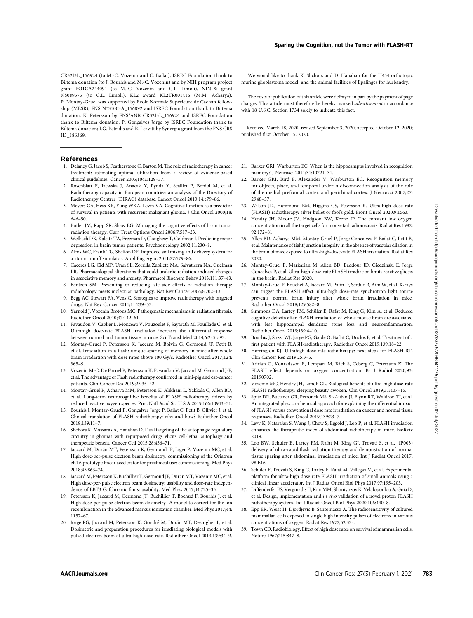CR32I3L\_156924 (to M.-C. Vozenin and C. Bailat), ISREC Foundation thank to Biltema donation (to J. Bourhis and M.-C. Vozenin) and by NIH program project grant PO1CA244091 (to M.-C. Vozenin and C.L. Limoli), NINDS grant NS089575 (to C.L. Limoli), KL2 award KL2TR001416 (M.M. Acharya). P. Montay-Gruel was supported by Ecole Normale Supérieure de Cachan fellowship (MESR), FNS N°31003A\_156892 and ISREC Foundation thank to Biltema donation, K. Petersson by FNS/ANR CR32I3L\_156924 and ISREC Foundation thank to Biltema donation; P. Goncalves Jorge by ISREC Foundation thank to Biltema donation; I.G. Petridis and R. Leavitt by Synergia grant from the FNS CRS II5\_186369.

#### References

- 1. Delaney G, Jacob S, Featherstone C, Barton M. The role of radiotherapy in cancer treatment: estimating optimal utilization from a review of evidence-based clinical guidelines. Cancer 2005;104:1129–37.
- 2. Rosenblatt E, Izewska J, Anacak Y, Pynda Y, Scalliet P, Boniol M, et al. Radiotherapy capacity in European countries: an analysis of the Directory of Radiotherapy Centres (DIRAC) database. Lancet Oncol 2013;14:e79–86.
- 3. Meyers CA, Hess KR, Yung WKA, Levin VA. Cognitive function as a predictor of survival in patients with recurrent malignant glioma. J Clin Oncol 2000;18: 646–50.
- 4. Butler JM, Rapp SR, Shaw EG. Managing the cognitive effects of brain tumor radiation therapy. Curr Treat Options Oncol 2006;7:517–23.
- 5. Wellisch DK, Kaleita TA, Freeman D, Cloughesy T, Goldman J. Predicting major depression in brain tumor patients. Psychooncology 2002;11:230–8.
- 6. Alms WC, Franti TG, Shelton DP. Improved soil mixing and delivery system for a storm runoff simulator. Appl Eng Agric 2011;27:579–86.
- 7. Caceres LG, Cid MP, Uran SL, Zorrilla Zubilete MA, Salvatierra NA, Guelman LR. Pharmacological alterations that could underlie radiation-induced changes in associative memory and anxiety. Pharmacol Biochem Behav 2013;111:37–43.
- 8. Bentzen SM. Preventing or reducing late side effects of radiation therapy: radiobiology meets molecular pathology. Nat Rev Cancer 2006;6:702–13.
- 9. Begg AC, Stewart FA, Vens C. Strategies to improve radiotherapy with targeted drugs. Nat Rev Cancer 2011;11:239–53.
- 10. Yarnold J, Vozenin Brotons MC. Pathogenetic mechanisms in radiation fibrosis. Radiother Oncol 2010;97:149–61.
- 11. Favaudon V, Caplier L, Monceau V, Pouzoulet F, Sayarath M, Fouillade C, et al. Ultrahigh dose-rate FLASH irradiation increases the differential response between normal and tumor tissue in mice. Sci Transl Med 2014;6:245ra93.
- 12. Montay-Gruel P, Petersson K, Jaccard M, Boivin G, Germond JF, Petit B, et al. Irradiation in a flash: unique sparing of memory in mice after whole brain irradiation with dose rates above 100 Gy/s. Radiother Oncol 2017;124: 365–9.
- 13. Vozenin M-C, De Fornel P, Petersson K, Favaudon V, Jaccard M, Germond J-F, et al. The advantage of Flash radiotherapy confirmed in mini-pig and cat-cancer patients. Clin Cancer Res 2019;25:35–42.
- 14. Montay-Gruel P, Acharya MM, Petersson K, Alikhani L, Yakkala C, Allen BD, et al. Long-term neurocognitive benefits of FLASH radiotherapy driven by reduced reactive oxygen species. Proc Natl Acad Sci U S A 2019;166:10943–51.
- 15. Bourhis J, Montay-Gruel P, Gonçalves Jorge P, Bailat C, Petit B, Ollivier J, et al. Clinical translation of FLASH radiotherapy: why and how? Radiother Oncol 2019;139:11–7.
- 16. Shchors K, Massaras A, Hanahan D. Dual targeting of the autophagic regulatory circuitry in gliomas with repurposed drugs elicits cell-lethal autophagy and therapeutic benefit. Cancer Cell 2015;28:456–71.
- 17. Jaccard M, Durán MT, Petersson K, Germond JF, Liger P, Vozenin MC, et al. High dose-per-pulse electron beam dosimetry: commissioning of the Oriatron eRT6 prototype linear accelerator for preclinical use: commissioning. Med Phys 2018;45:863–74.
- 18. Jaccard M, Petersson K, Buchillier T, Germond JF, Durán MT, Vozenin MC, et al. High dose-per-pulse electron beam dosimetry: usability and dose-rate independence of EBT3 Gafchromic films: usability. Med Phys 2017;44:725–35.
- 19. Petersson K, Jaccard M, Germond JF, Buchillier T, Bochud F, Bourhis J, et al. High dose-per-pulse electron beam dosimetry -A model to correct for the ion recombination in the advanced markus ionization chamber. Med Phys 2017;44: 1157–67.
- 20. Jorge PG, Jaccard M, Petersson K, Gondré M, Durán MT, Desorgher L, et al. Dosimetric and preparation procedures for irradiating biological models with pulsed electron beam at ultra-high dose-rate. Radiother Oncol 2019;139:34–9.

We would like to thank K. Shchors and D. Hanahan for the H454 orthotopic murine glioblastoma model, and the animal facilities of Epalinges for husbandry.

The costs of publication of this article were defrayed in part by the payment of page charges. This article must therefore be hereby marked advertisement in accordance with 18 U.S.C. Section 1734 solely to indicate this fact.

Received March 18, 2020; revised September 3, 2020; accepted October 12, 2020; published first October 15, 2020.

- 21. Barker GRI, Warburton EC. When is the hippocampus involved in recognition memory? J Neurosci 2011;31:10721–31.
- 22. Barker GRI, Bird F, Alexander V, Warburton EC. Recognition memory for objects, place, and temporal order: a disconnection analysis of the role of the medial prefrontal cortex and perirhinal cortex. J Neurosci 2007;27: 2948–57.
- 23. Wilson JD, Hammond EM, Higgins GS, Petersson K. Ultra-high dose rate (FLASH) radiotherapy: silver bullet or fool's gold. Front Oncol 2020;9:1563.
- 24. Hendry JH, Moore JV, Hodgson BW, Keene JP. The constant low oxygen concentration in all the target cells for mouse tail radionecrosis. Radiat Res 1982; 92:172–81.
- 25. Allen BD, Acharya MM, Montay-Gruel P, Jorge Goncalves P, Bailat C, Petit B, et al. Maintenance of tight junction integrity in the absence of vascular dilation in the brain of mice exposed to ultra-high-dose-rate FLASH irradiation. Radiat Res 2020.
- 26. Montay-Gruel P, Markarian M, Allen BD, Baddour JD, Giedzinski E, Jorge Goncalves P, et al. Ultra-high-dose-rate FLASH irradiation limits reactive gliosis in the brain. Radiat Res 2020.
- 27. Montay-Gruel P, Bouchet A, Jaccard M, Patin D, Serduc R, Aim W, et al. X-rays can trigger the FLASH effect: ultra-high dose-rate synchrotron light source prevents normal brain injury after whole brain irradiation in mice. Radiother Oncol 2018;129:582–8.
- 28. Simmons DA, Lartey FM, Schüler E, Rafat M, King G, Kim A, et al. Reduced cognitive deficits after FLASH irradiation of whole mouse brain are associated with less hippocampal dendritic spine loss and neuroinflammation. Radiother Oncol 2019;139:4–10.
- 29. Bourhis J, Sozzi WJ, Jorge PG, Gaide O, Bailat C, Duclos F, et al. Treatment of a first patient with FLASH-radiotherapy. Radiother Oncol 2019;139:18–22.
- 30. Harrington KJ. Ultrahigh dose-rate radiotherapy: next steps for FLASH-RT. Clin Cancer Res 2019;25:3–5.
- 31. Adrian G, Konradsson E, Lempart M, Bäck S, Ceberg C, Petersson K. The FLASH effect depends on oxygen concentration. Br J Radiol 2020;93: 20190702.
- 32. Vozenin MC, Hendry JH, Limoli CL. Biological benefits of ultra-high dose-rate FLASH radiotherapy: sleeping beauty awoken. Clin Oncol 2019;31:407–15.
- 33. Spitz DR, Buettner GR, Petronek MS, St-Aubin JJ, Flynn RT, Waldron TJ, et al. An integrated physico-chemical approach for explaining the differential impact of FLASH versus conventional dose rate irradiation on cancer and normal tissue responses. Radiother Oncol 2019;139:23–7.
- 34. Levy K, Natarajan S, Wang J, Chow S, Eggold J, Loo P, et al. FLASH irradiation enhances the therapeutic index of abdominal radiotherapy in mice. bioRxiv 2019.
- 35. Loo BW, Schuler E, Lartey FM, Rafat M, King GJ, Trovati S, et al. (P003) delivery of ultra-rapid flash radiation therapy and demonstration of normal tissue sparing after abdominal irradiation of mice. Int J Radiat Oncol 2017; 98:E16.
- 36. Schüler E, Trovati S, King G, Lartey F, Rafat M, Villegas M, et al. Experimental platform for ultra-high dose rate FLASH irradiation of small animals using a clinical linear accelerator. Int J Radiat Oncol Biol Phys 2017;97:195–203.
- 37. Diffenderfer ES, Verginadis II, Kim MM, Shoniyozov K, Velalopoulou A, Goia D, et al. Design, implementation and in vivo validation of a novel proton FLASH radiotherapy system. Int J Radiat Oncol Biol Phys 2020;106:440–8.
- 38. Epp ER, Weiss H, Djordjevic B, Santomasso A. The radiosensitivity of cultured mammalian cells exposed to single high intensity pulses of electrons in various concentrations of oxygen. Radiat Res 1972;52:324.
- 39. Town CD. Radiobiology. Effect of high dose rates on survival of mammalian cells. Nature 1967;215:847–8.